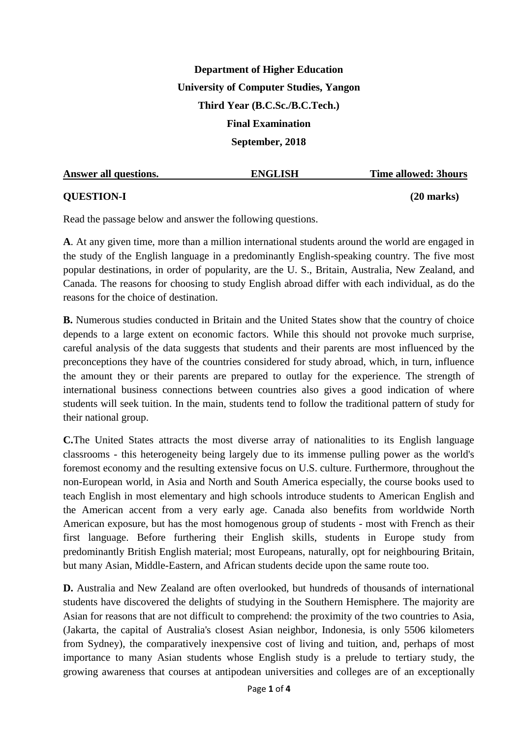# **Department of Higher Education University of Computer Studies, Yangon Third Year (B.C.Sc./B.C.Tech.) Final Examination September, 2018**

| Answer all questions. | <b>ENGLISH</b> | <b>Time allowed: 3hours</b> |
|-----------------------|----------------|-----------------------------|
| <b>QUESTION-I</b>     |                | $(20$ marks)                |

Read the passage below and answer the following questions.

**A**. At any given time, more than a million international students around the world are engaged in the study of the English language in a predominantly English-speaking country. The five most popular destinations, in order of popularity, are the U. S., Britain, Australia, New Zealand, and Canada. The reasons for choosing to study English abroad differ with each individual, as do the reasons for the choice of destination.

**B.** Numerous studies conducted in Britain and the United States show that the country of choice depends to a large extent on economic factors. While this should not provoke much surprise, careful analysis of the data suggests that students and their parents are most influenced by the preconceptions they have of the countries considered for study abroad, which, in turn, influence the amount they or their parents are prepared to outlay for the experience. The strength of international business connections between countries also gives a good indication of where students will seek tuition. In the main, students tend to follow the traditional pattern of study for their national group.

**C.**The United States attracts the most diverse array of nationalities to its English language classrooms - this heterogeneity being largely due to its immense pulling power as the world's foremost economy and the resulting extensive focus on U.S. culture. Furthermore, throughout the non-European world, in Asia and North and South America especially, the course books used to teach English in most elementary and high schools introduce students to American English and the American accent from a very early age. Canada also benefits from worldwide North American exposure, but has the most homogenous group of students - most with French as their first language. Before furthering their English skills, students in Europe study from predominantly British English material; most Europeans, naturally, opt for neighbouring Britain, but many Asian, Middle-Eastern, and African students decide upon the same route too.

**D.** Australia and New Zealand are often overlooked, but hundreds of thousands of international students have discovered the delights of studying in the Southern Hemisphere. The majority are Asian for reasons that are not difficult to comprehend: the proximity of the two countries to Asia, (Jakarta, the capital of Australia's closest Asian neighbor, Indonesia, is only 5506 kilometers from Sydney), the comparatively inexpensive cost of living and tuition, and, perhaps of most importance to many Asian students whose English study is a prelude to tertiary study, the growing awareness that courses at antipodean universities and colleges are of an exceptionally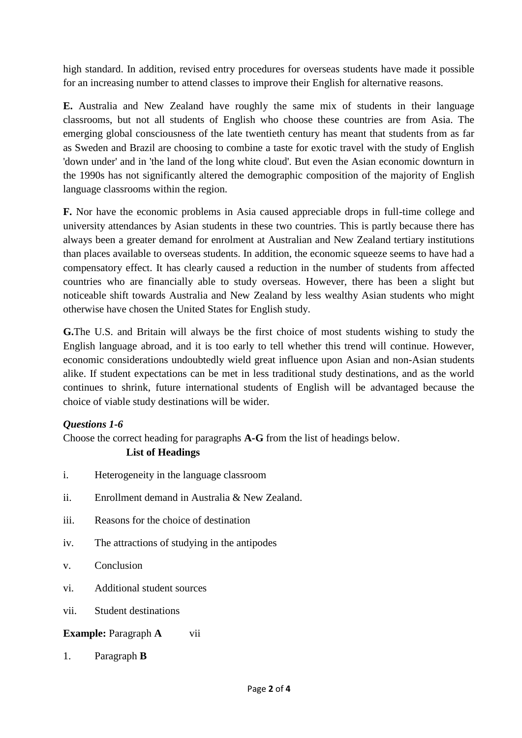high standard. In addition, revised entry procedures for overseas students have made it possible for an increasing number to attend classes to improve their English for alternative reasons.

**E.** Australia and New Zealand have roughly the same mix of students in their language classrooms, but not all students of English who choose these countries are from Asia. The emerging global consciousness of the late twentieth century has meant that students from as far as Sweden and Brazil are choosing to combine a taste for exotic travel with the study of English 'down under' and in 'the land of the long white cloud'. But even the Asian economic downturn in the 1990s has not significantly altered the demographic composition of the majority of English language classrooms within the region.

**F.** Nor have the economic problems in Asia caused appreciable drops in full-time college and university attendances by Asian students in these two countries. This is partly because there has always been a greater demand for enrolment at Australian and New Zealand tertiary institutions than places available to overseas students. In addition, the economic squeeze seems to have had a compensatory effect. It has clearly caused a reduction in the number of students from affected countries who are financially able to study overseas. However, there has been a slight but noticeable shift towards Australia and New Zealand by less wealthy Asian students who might otherwise have chosen the United States for English study.

**G.**The U.S. and Britain will always be the first choice of most students wishing to study the English language abroad, and it is too early to tell whether this trend will continue. However, economic considerations undoubtedly wield great influence upon Asian and non-Asian students alike. If student expectations can be met in less traditional study destinations, and as the world continues to shrink, future international students of English will be advantaged because the choice of viable study destinations will be wider.

### *Questions 1-6*

Choose the correct heading for paragraphs **A-G** from the list of headings below.

### **List of Headings**

- i. Heterogeneity in the language classroom
- ii. Enrollment demand in Australia & New Zealand.
- iii. Reasons for the choice of destination
- iv. The attractions of studying in the antipodes
- v. Conclusion
- vi. Additional student sources
- vii. Student destinations

### **Example:** Paragraph **A** vii

1. Paragraph **B**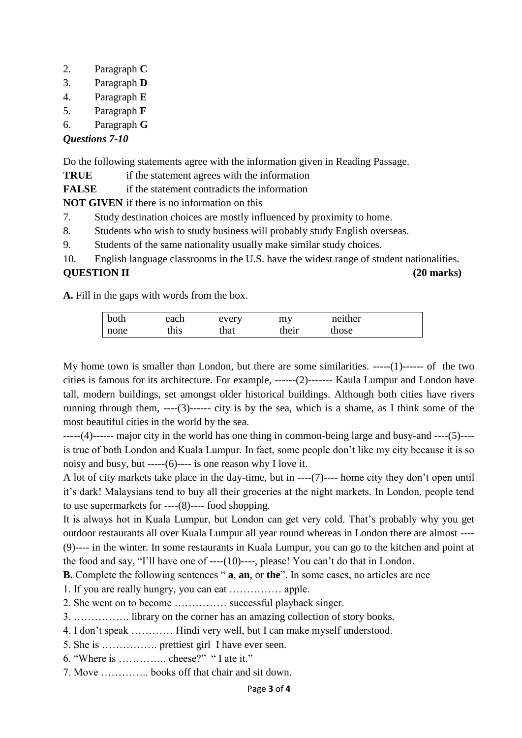- 2. Paragraph **C**
- 3. Paragraph **D**
- 4. Paragraph **E**
- 5. Paragraph **F**
- 6. Paragraph **G**

## *Questions 7-10*

Do the following statements agree with the information given in Reading Passage.

**TRUE** if the statement agrees with the information

**FALSE** if the statement contradicts the information

**NOT GIVEN** if there is no information on this

- 7. Study destination choices are mostly influenced by proximity to home.
- 8. Students who wish to study business will probably study English overseas.
- 9. Students of the same nationality usually make similar study choices.

10. English language classrooms in the U.S. have the widest range of student nationalities. **QUESTION II (20 marks)**

**A.** Fill in the gaps with words from the box.

| both | each | every | my    | neither |
|------|------|-------|-------|---------|
| none | this | that  | their | those   |

My home town is smaller than London, but there are some similarities. -----(1)------ of the two cities is famous for its architecture. For example, ------(2)------- Kaula Lumpur and London have tall, modern buildings, set amongst older historical buildings. Although both cities have rivers running through them, ----(3)------ city is by the sea, which is a shame, as I think some of the most beautiful cities in the world by the sea.

-----(4)------ major city in the world has one thing in common-being large and busy-and ----(5)--- is true of both London and Kuala Lumpur. In fact, some people don't like my city because it is so noisy and busy, but -----(6)---- is one reason why I love it.

A lot of city markets take place in the day-time, but in ----(7)---- home city they don't open until it's dark! Malaysians tend to buy all their groceries at the night markets. In London, people tend to use supermarkets for ----(8)---- food shopping.

It is always hot in Kuala Lumpur, but London can get very cold. That's probably why you get outdoor restaurants all over Kuala Lumpur all year round whereas in London there are almost ---- (9)---- in the winter. In some restaurants in Kuala Lumpur, you can go to the kitchen and point at the food and say, "I'll have one of ----(10)----, please! You can't do that in London.

**B.** Complete the following sentences " **a**, **an**, or **the**". In some cases, no articles are nee

1. If you are really hungry, you can eat …………… apple.

2. She went on to become …………… successful playback singer.

- 3. ……………. library on the corner has an amazing collection of story books.
- 4. I don't speak ………… Hindi very well, but I can make myself understood.
- 5. She is ……………. prettiest girl I have ever seen.
- 6. "Where is ………….. cheese?" " I ate it."
- 7. Move ………….. books off that chair and sit down.